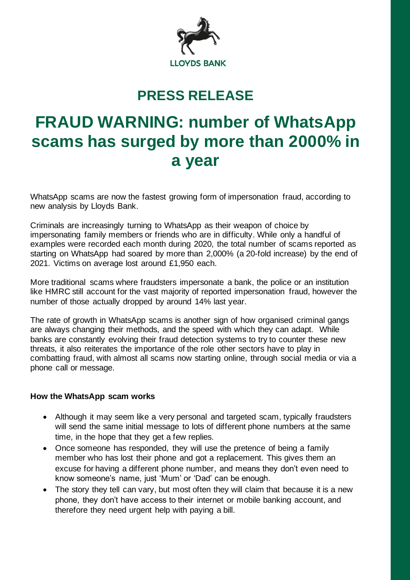

## **PRESS RELEASE**

## **FRAUD WARNING: number of WhatsApp scams has surged by more than 2000% in a year**

WhatsApp scams are now the fastest growing form of impersonation fraud, according to new analysis by Lloyds Bank.

Criminals are increasingly turning to WhatsApp as their weapon of choice by impersonating family members or friends who are in difficulty. While only a handful of examples were recorded each month during 2020, the total number of scams reported as starting on WhatsApp had soared by more than 2,000% (a 20-fold increase) by the end of 2021. Victims on average lost around £1,950 each.

More traditional scams where fraudsters impersonate a bank, the police or an institution like HMRC still account for the vast majority of reported impersonation fraud, however the number of those actually dropped by around 14% last year.

The rate of growth in WhatsApp scams is another sign of how organised criminal gangs are always changing their methods, and the speed with which they can adapt. While banks are constantly evolving their fraud detection systems to try to counter these new threats, it also reiterates the importance of the role other sectors have to play in combatting fraud, with almost all scams now starting online, through social media or via a phone call or message.

## **How the WhatsApp scam works**

- Although it may seem like a very personal and targeted scam, typically fraudsters will send the same initial message to lots of different phone numbers at the same time, in the hope that they get a few replies.
- Once someone has responded, they will use the pretence of being a family member who has lost their phone and got a replacement. This gives them an excuse for having a different phone number, and means they don't even need to know someone's name, just 'Mum' or 'Dad' can be enough.
- The story they tell can vary, but most often they will claim that because it is a new phone, they don't have access to their internet or mobile banking account, and therefore they need urgent help with paying a bill.